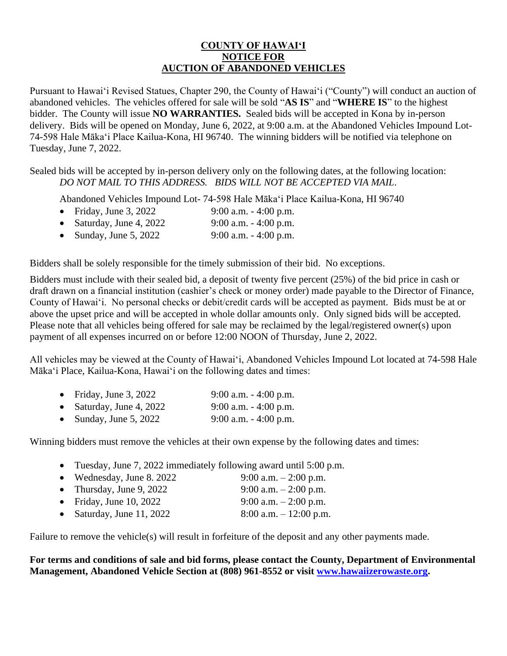## **COUNTY OF HAWAIʻI NOTICE FOR AUCTION OF ABANDONED VEHICLES**

Pursuant to Hawaiʻi Revised Statues, Chapter 290, the County of Hawai'i ("County") will conduct an auction of abandoned vehicles. The vehicles offered for sale will be sold "**AS IS**" and "**WHERE IS**" to the highest bidder. The County will issue **NO WARRANTIES.** Sealed bids will be accepted in Kona by in-person delivery. Bids will be opened on Monday, June 6, 2022, at 9:00 a.m. at the Abandoned Vehicles Impound Lot-74-598 Hale Mākaʻi Place Kailua-Kona, HI 96740. The winning bidders will be notified via telephone on Tuesday, June 7, 2022.

Sealed bids will be accepted by in-person delivery only on the following dates, at the following location: *DO NOT MAIL TO THIS ADDRESS. BIDS WILL NOT BE ACCEPTED VIA MAIL*.

Abandoned Vehicles Impound Lot- 74-598 Hale Mākaʻi Place Kailua-Kona, HI 96740

- Friday, June 3, 2022 9:00 a.m. 4:00 p.m.
- Saturday, June 4, 2022 9:00 a.m. 4:00 p.m.
- Sunday, June 5, 2022 9:00 a.m.  $-4:00$  p.m.

Bidders shall be solely responsible for the timely submission of their bid. No exceptions.

Bidders must include with their sealed bid, a deposit of twenty five percent (25%) of the bid price in cash or draft drawn on a financial institution (cashier's check or money order) made payable to the Director of Finance, County of Hawai'i. No personal checks or debit/credit cards will be accepted as payment. Bids must be at or above the upset price and will be accepted in whole dollar amounts only. Only signed bids will be accepted. Please note that all vehicles being offered for sale may be reclaimed by the legal/registered owner(s) upon payment of all expenses incurred on or before 12:00 NOON of Thursday, June 2, 2022.

All vehicles may be viewed at the County of Hawaiʻi, Abandoned Vehicles Impound Lot located at 74-598 Hale Mākaʻi Place, Kailua-Kona, Hawaiʻi on the following dates and times:

| • Friday, June 3, 2022   | $9:00$ a.m. $-4:00$ p.m. |
|--------------------------|--------------------------|
| • Saturday, June 4, 2022 | $9:00$ a.m. $-4:00$ p.m. |
| • Sunday, June 5, 2022   | $9:00$ a.m. $-4:00$ p.m. |

Winning bidders must remove the vehicles at their own expense by the following dates and times:

- Tuesday, June 7, 2022 immediately following award until 5:00 p.m.
- Wednesday, June 8. 2022 9:00 a.m.  $2:00$  p.m. • Thursday, June 9, 2022 9:00 a.m.  $- 2:00$  p.m. • Friday, June 10, 2022 9:00 a.m.  $-2:00$  p.m. • Saturday, June 11, 2022 8:00 a.m.  $- 12:00$  p.m.

Failure to remove the vehicle(s) will result in forfeiture of the deposit and any other payments made.

**For terms and conditions of sale and bid forms, please contact the County, Department of Environmental Management, Abandoned Vehicle Section at (808) 961-8552 or visit [www.hawaiizerowaste.org.](http://www.hawaiizerowaste.org/)**